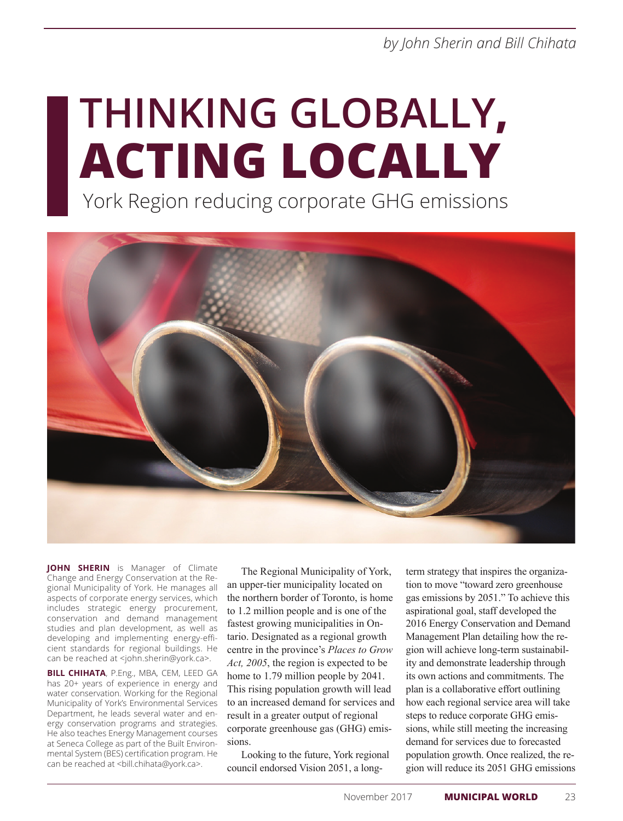*by John Sherin and Bill Chihata*

# **THINKING GLOBALLY, ACTING LOCALLY**

York Region reducing corporate GHG emissions



**JOHN SHERIN** is Manager of Climate Change and Energy Conservation at the Regional Municipality of York. He manages all aspects of corporate energy services, which includes strategic energy procurement, conservation and demand management studies and plan development, as well as developing and implementing energy-efficient standards for regional buildings. He can be reached at <john.sherin@york.ca>.

**BILL CHIHATA**, P.Eng., MBA, CEM, LEED GA has 20+ years of experience in energy and water conservation. Working for the Regional Municipality of York's Environmental Services Department, he leads several water and energy conservation programs and strategies. He also teaches Energy Management courses at Seneca College as part of the Built Environmental System (BES) certification program. He can be reached at <bll.chihata@york.ca>.

The Regional Municipality of York, an upper-tier municipality located on the northern border of Toronto, is home to 1.2 million people and is one of the fastest growing municipalities in Ontario. Designated as a regional growth centre in the province's *Places to Grow Act, 2005*, the region is expected to be home to 1.79 million people by 2041. This rising population growth will lead to an increased demand for services and result in a greater output of regional corporate greenhouse gas (GHG) emissions.

Looking to the future, York regional council endorsed Vision 2051, a long-

term strategy that inspires the organization to move "toward zero greenhouse gas emissions by 2051." To achieve this aspirational goal, staff developed the 2016 Energy Conservation and Demand Management Plan detailing how the region will achieve long-term sustainability and demonstrate leadership through its own actions and commitments. The plan is a collaborative effort outlining how each regional service area will take steps to reduce corporate GHG emissions, while still meeting the increasing demand for services due to forecasted population growth. Once realized, the region will reduce its 2051 GHG emissions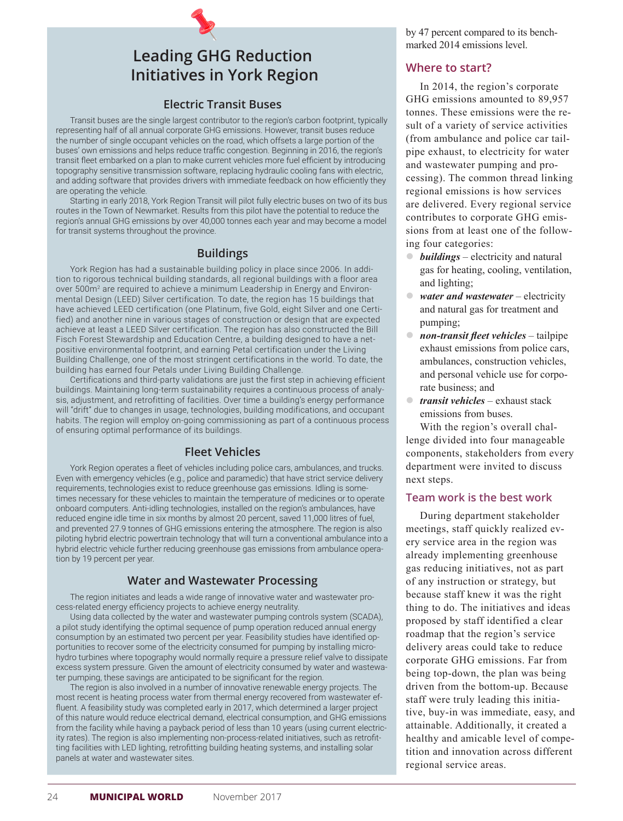## **Leading GHG Reduction Initiatives in York Region**

#### **Electric Transit Buses**

Transit buses are the single largest contributor to the region's carbon footprint, typically representing half of all annual corporate GHG emissions. However, transit buses reduce the number of single occupant vehicles on the road, which offsets a large portion of the buses' own emissions and helps reduce traffic congestion. Beginning in 2016, the region's transit fleet embarked on a plan to make current vehicles more fuel efficient by introducing topography sensitive transmission software, replacing hydraulic cooling fans with electric, and adding software that provides drivers with immediate feedback on how efficiently they are operating the vehicle.

Starting in early 2018, York Region Transit will pilot fully electric buses on two of its bus routes in the Town of Newmarket. Results from this pilot have the potential to reduce the region's annual GHG emissions by over 40,000 tonnes each year and may become a model for transit systems throughout the province.

#### **Buildings**

York Region has had a sustainable building policy in place since 2006. In addition to rigorous technical building standards, all regional buildings with a floor area over 500m<sup>2</sup> are required to achieve a minimum Leadership in Energy and Environmental Design (LEED) Silver certification. To date, the region has 15 buildings that have achieved LEED certification (one Platinum, five Gold, eight Silver and one Certified) and another nine in various stages of construction or design that are expected achieve at least a LEED Silver certification. The region has also constructed the Bill Fisch Forest Stewardship and Education Centre, a building designed to have a netpositive environmental footprint, and earning Petal certification under the Living Building Challenge, one of the most stringent certifications in the world. To date, the building has earned four Petals under Living Building Challenge.

Certifications and third-party validations are just the first step in achieving efficient buildings. Maintaining long-term sustainability requires a continuous process of analysis, adjustment, and retrofitting of facilities. Over time a building's energy performance will "drift" due to changes in usage, technologies, building modifications, and occupant habits. The region will employ on-going commissioning as part of a continuous process of ensuring optimal performance of its buildings.

### **Fleet Vehicles**

York Region operates a fleet of vehicles including police cars, ambulances, and trucks. Even with emergency vehicles (e.g., police and paramedic) that have strict service delivery requirements, technologies exist to reduce greenhouse gas emissions. Idling is sometimes necessary for these vehicles to maintain the temperature of medicines or to operate onboard computers. Anti-idling technologies, installed on the region's ambulances, have reduced engine idle time in six months by almost 20 percent, saved 11,000 litres of fuel, and prevented 27.9 tonnes of GHG emissions entering the atmosphere. The region is also piloting hybrid electric powertrain technology that will turn a conventional ambulance into a hybrid electric vehicle further reducing greenhouse gas emissions from ambulance operation by 19 percent per year.

#### **Water and Wastewater Processing**

The region initiates and leads a wide range of innovative water and wastewater process-related energy efficiency projects to achieve energy neutrality.

Using data collected by the water and wastewater pumping controls system (SCADA), a pilot study identifying the optimal sequence of pump operation reduced annual energy consumption by an estimated two percent per year. Feasibility studies have identified opportunities to recover some of the electricity consumed for pumping by installing microhydro turbines where topography would normally require a pressure relief valve to dissipate excess system pressure. Given the amount of electricity consumed by water and wastewater pumping, these savings are anticipated to be significant for the region.

The region is also involved in a number of innovative renewable energy projects. The most recent is heating process water from thermal energy recovered from wastewater effluent. A feasibility study was completed early in 2017, which determined a larger project of this nature would reduce electrical demand, electrical consumption, and GHG emissions from the facility while having a payback period of less than 10 years (using current electricity rates). The region is also implementing non-process-related initiatives, such as retrofitting facilities with LED lighting, retrofitting building heating systems, and installing solar panels at water and wastewater sites.

by 47 percent compared to its benchmarked 2014 emissions level.

#### **Where to start?**

In 2014, the region's corporate GHG emissions amounted to 89,957 tonnes. These emissions were the result of a variety of service activities (from ambulance and police car tailpipe exhaust, to electricity for water and wastewater pumping and processing). The common thread linking regional emissions is how services are delivered. Every regional service contributes to corporate GHG emissions from at least one of the following four categories:

- *buildings* electricity and natural gas for heating, cooling, ventilation, and lighting;
- water and wastewater electricity and natural gas for treatment and pumping;
- **•** *non-transit fleet vehicles* tailpipe exhaust emissions from police cars, ambulances, construction vehicles, and personal vehicle use for corporate business; and
- **transit vehicles** exhaust stack emissions from buses.

With the region's overall challenge divided into four manageable components, stakeholders from every department were invited to discuss next steps.

#### **Team work is the best work**

During department stakeholder meetings, staff quickly realized every service area in the region was already implementing greenhouse gas reducing initiatives, not as part of any instruction or strategy, but because staff knew it was the right thing to do. The initiatives and ideas proposed by staff identified a clear roadmap that the region's service delivery areas could take to reduce corporate GHG emissions. Far from being top-down, the plan was being driven from the bottom-up. Because staff were truly leading this initiative, buy-in was immediate, easy, and attainable. Additionally, it created a healthy and amicable level of competition and innovation across different regional service areas.